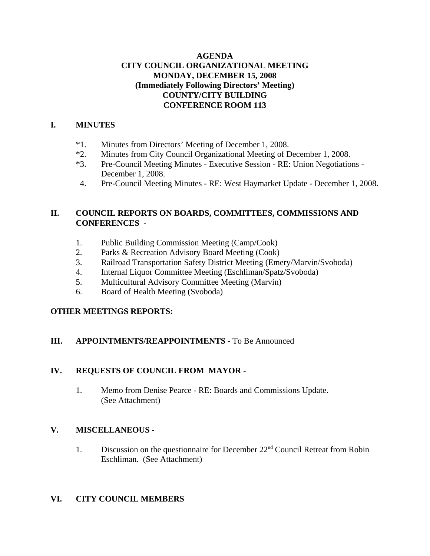## **AGENDA CITY COUNCIL ORGANIZATIONAL MEETING MONDAY, DECEMBER 15, 2008 (Immediately Following Directors' Meeting) COUNTY/CITY BUILDING CONFERENCE ROOM 113**

### **I. MINUTES**

- \*1. Minutes from Directors' Meeting of December 1, 2008.
- \*2. Minutes from City Council Organizational Meeting of December 1, 2008.
- \*3. Pre-Council Meeting Minutes Executive Session RE: Union Negotiations December 1, 2008.
- 4. Pre-Council Meeting Minutes RE: West Haymarket Update December 1, 2008.

## **II. COUNCIL REPORTS ON BOARDS, COMMITTEES, COMMISSIONS AND CONFERENCES** -

- 1. Public Building Commission Meeting (Camp/Cook)
- 2. Parks & Recreation Advisory Board Meeting (Cook)
- 3. Railroad Transportation Safety District Meeting (Emery/Marvin/Svoboda)
- 4. Internal Liquor Committee Meeting (Eschliman/Spatz/Svoboda)
- 5. Multicultural Advisory Committee Meeting (Marvin)
- 6. Board of Health Meeting (Svoboda)

## **OTHER MEETINGS REPORTS:**

## **III.** APPOINTMENTS/REAPPOINTMENTS - To Be Announced

## **IV. REQUESTS OF COUNCIL FROM MAYOR -**

1. Memo from Denise Pearce - RE: Boards and Commissions Update. (See Attachment)

# **V. MISCELLANEOUS -**

1. Discussion on the questionnaire for December 22nd Council Retreat from Robin Eschliman. (See Attachment)

## **VI. CITY COUNCIL MEMBERS**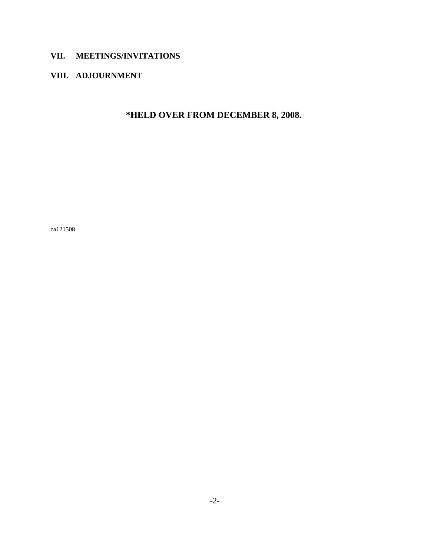# **VII. MEETINGS/INVITATIONS**

# **VIII. ADJOURNMENT**

**\*HELD OVER FROM DECEMBER 8, 2008.** 

ca121508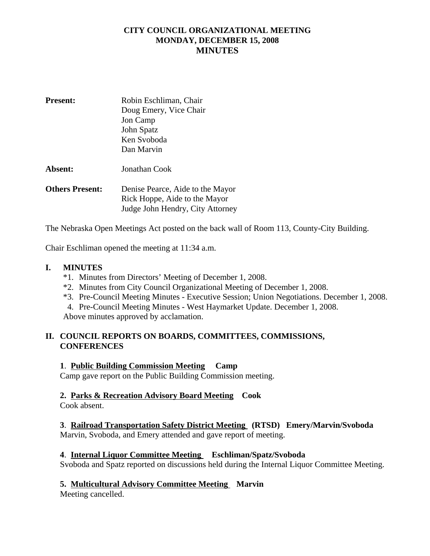# **CITY COUNCIL ORGANIZATIONAL MEETING MONDAY, DECEMBER 15, 2008 MINUTES**

| <b>Present:</b>        | Robin Eschliman, Chair           |
|------------------------|----------------------------------|
|                        | Doug Emery, Vice Chair           |
|                        | Jon Camp                         |
|                        | John Spatz                       |
|                        | Ken Svoboda                      |
|                        | Dan Marvin                       |
| Absent:                | Jonathan Cook                    |
| <b>Others Present:</b> | Denise Pearce, Aide to the Mayor |
|                        | Rick Hoppe, Aide to the Mayor    |
|                        | Judge John Hendry, City Attorney |

The Nebraska Open Meetings Act posted on the back wall of Room 113, County-City Building.

Chair Eschliman opened the meeting at 11:34 a.m.

#### **I. MINUTES**

- \*1. Minutes from Directors' Meeting of December 1, 2008.
- \*2. Minutes from City Council Organizational Meeting of December 1, 2008.
- \*3. Pre-Council Meeting Minutes Executive Session; Union Negotiations. December 1, 2008.
- 4. Pre-Council Meeting Minutes West Haymarket Update. December 1, 2008.

Above minutes approved by acclamation.

## **II. COUNCIL REPORTS ON BOARDS, COMMITTEES, COMMISSIONS, CONFERENCES**

#### **1**. **Public Building Commission Meeting Camp**

Camp gave report on the Public Building Commission meeting.

#### **2. Parks & Recreation Advisory Board Meeting Cook**

Cook absent.

## **3**. **Railroad Transportation Safety District Meeting (RTSD) Emery/Marvin/Svoboda**

Marvin, Svoboda, and Emery attended and gave report of meeting.

#### **4**. **Internal Liquor Committee Meeting Eschliman/Spatz/Svoboda**

Svoboda and Spatz reported on discussions held during the Internal Liquor Committee Meeting.

## **5. Multicultural Advisory Committee Meeting Marvin**

Meeting cancelled.